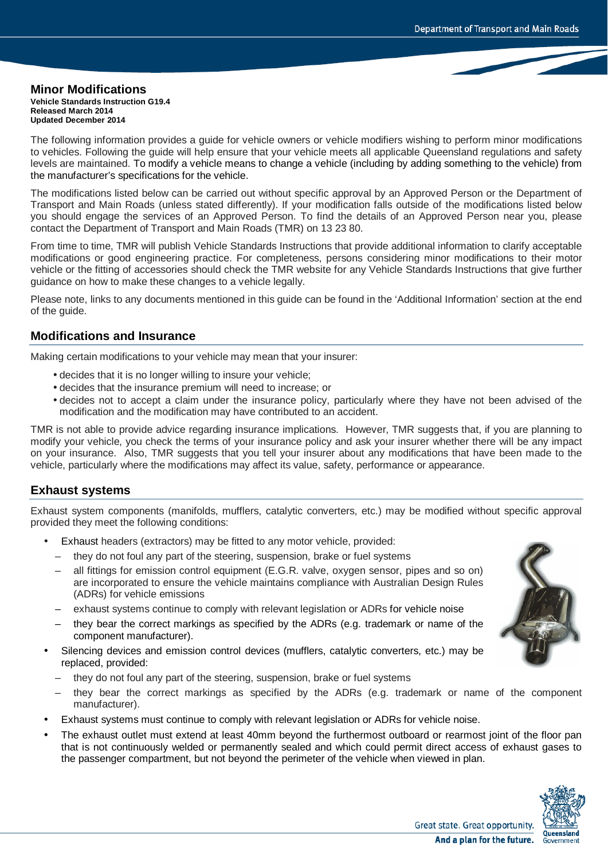#### **Minor Modifications Vehicle Standards Instruction G19.4 Released March 2014 Updated December 2014**

The following information provides a guide for vehicle owners or vehicle modifiers wishing to perform minor modifications to vehicles. Following the guide will help ensure that your vehicle meets all applicable Queensland regulations and safety levels are maintained. To modify a vehicle means to change a vehicle (including by adding something to the vehicle) from the manufacturer's specifications for the vehicle.

The modifications listed below can be carried out without specific approval by an Approved Person or the Department of Transport and Main Roads (unless stated differently). If your modification falls outside of the modifications listed below you should engage the services of an Approved Person. To find the details of an Approved Person near you, please contact the Department of Transport and Main Roads (TMR) on 13 23 80.

From time to time, TMR will publish Vehicle Standards Instructions that provide additional information to clarify acceptable modifications or good engineering practice. For completeness, persons considering minor modifications to their motor vehicle or the fitting of accessories should check the TMR website for any Vehicle Standards Instructions that give further guidance on how to make these changes to a vehicle legally.

Please note, links to any documents mentioned in this guide can be found in the 'Additional Information' section at the end of the guide.

# **Modifications and Insurance**

Making certain modifications to your vehicle may mean that your insurer:

- decides that it is no longer willing to insure your vehicle;
- decides that the insurance premium will need to increase; or
- decides not to accept a claim under the insurance policy, particularly where they have not been advised of the modification and the modification may have contributed to an accident.

TMR is not able to provide advice regarding insurance implications. However, TMR suggests that, if you are planning to modify your vehicle, you check the terms of your insurance policy and ask your insurer whether there will be any impact on your insurance. Also, TMR suggests that you tell your insurer about any modifications that have been made to the vehicle, particularly where the modifications may affect its value, safety, performance or appearance.

# **Exhaust systems**

Exhaust system components (manifolds, mufflers, catalytic converters, etc.) may be modified without specific approval provided they meet the following conditions:

- Exhaust headers (extractors) may be fitted to any motor vehicle, provided:
	- they do not foul any part of the steering, suspension, brake or fuel systems
	- all fittings for emission control equipment (E.G.R. valve, oxygen sensor, pipes and so on) are incorporated to ensure the vehicle maintains compliance with Australian Design Rules (ADRs) for vehicle emissions
	- exhaust systems continue to comply with relevant legislation or ADRs for vehicle noise
	- they bear the correct markings as specified by the ADRs (e.g. trademark or name of the component manufacturer).
- Silencing devices and emission control devices (mufflers, catalytic converters, etc.) may be replaced, provided:
	- they do not foul any part of the steering, suspension, brake or fuel systems
	- they bear the correct markings as specified by the ADRs (e.g. trademark or name of the component manufacturer).
- Exhaust systems must continue to comply with relevant legislation or ADRs for vehicle noise.
- The exhaust outlet must extend at least 40mm beyond the furthermost outboard or rearmost joint of the floor pan that is not continuously welded or permanently sealed and which could permit direct access of exhaust gases to the passenger compartment, but not beyond the perimeter of the vehicle when viewed in plan.



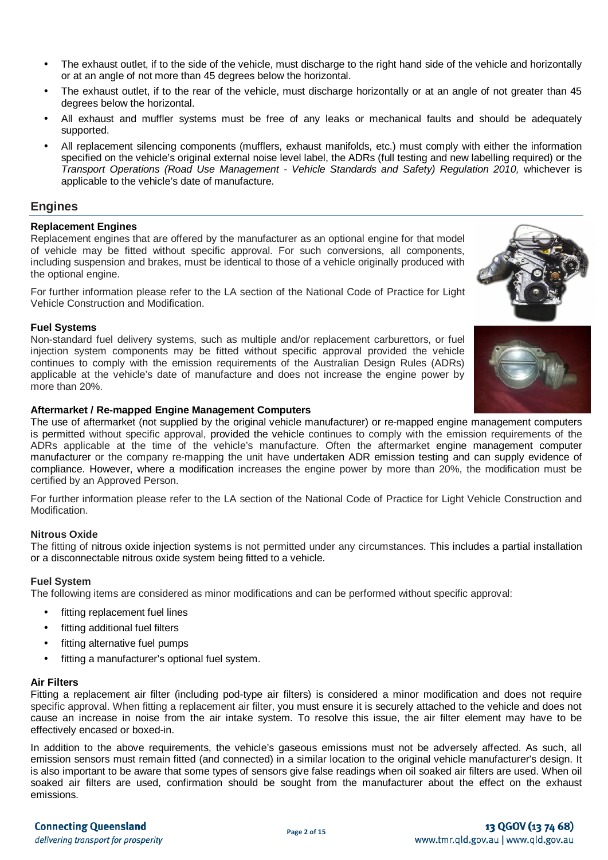- The exhaust outlet, if to the side of the vehicle, must discharge to the right hand side of the vehicle and horizontally or at an angle of not more than 45 degrees below the horizontal.
- The exhaust outlet, if to the rear of the vehicle, must discharge horizontally or at an angle of not greater than 45 degrees below the horizontal.
- All exhaust and muffler systems must be free of any leaks or mechanical faults and should be adequately supported.
- All replacement silencing components (mufflers, exhaust manifolds, etc.) must comply with either the information specified on the vehicle's original external noise level label, the ADRs (full testing and new labelling required) or the *Transport Operations (Road Use Management - Vehicle Standards and Safety) Regulation 2010, whichever is* applicable to the vehicle's date of manufacture.

# **Engines**

### **Replacement Engines**

Replacement engines that are offered by the manufacturer as an optional engine for that model of vehicle may be fitted without specific approval. For such conversions, all components, including suspension and brakes, must be identical to those of a vehicle originally produced with the optional engine.

For further information please refer to the LA section of the National Code of Practice for Light Vehicle Construction and Modification.

### **Fuel Systems**

Non-standard fuel delivery systems, such as multiple and/or replacement carburettors, or fuel injection system components may be fitted without specific approval provided the vehicle continues to comply with the emission requirements of the Australian Design Rules (ADRs) applicable at the vehicle's date of manufacture and does not increase the engine power by more than 20%.

### **Aftermarket / Re-mapped Engine Management Computers**

The use of aftermarket (not supplied by the original vehicle manufacturer) or re-mapped engine management computers is permitted without specific approval, provided the vehicle continues to comply with the emission requirements of the ADRs applicable at the time of the vehicle's manufacture. Often the aftermarket engine management computer manufacturer or the company re-mapping the unit have undertaken ADR emission testing and can supply evidence of compliance. However, where a modification increases the engine power by more than 20%, the modification must be certified by an Approved Person.

For further information please refer to the LA section of the National Code of Practice for Light Vehicle Construction and Modification.

### **Nitrous Oxide**

The fitting of nitrous oxide injection systems is not permitted under any circumstances. This includes a partial installation or a disconnectable nitrous oxide system being fitted to a vehicle.

### **Fuel System**

The following items are considered as minor modifications and can be performed without specific approval:

- fitting replacement fuel lines
- fitting additional fuel filters
- fitting alternative fuel pumps
- fitting a manufacturer's optional fuel system.

### **Air Filters**

Fitting a replacement air filter (including pod-type air filters) is considered a minor modification and does not require specific approval. When fitting a replacement air filter, you must ensure it is securely attached to the vehicle and does not cause an increase in noise from the air intake system. To resolve this issue, the air filter element may have to be effectively encased or boxed-in.

In addition to the above requirements, the vehicle's gaseous emissions must not be adversely affected. As such, all emission sensors must remain fitted (and connected) in a similar location to the original vehicle manufacturer's design. It is also important to be aware that some types of sensors give false readings when oil soaked air filters are used. When oil soaked air filters are used, confirmation should be sought from the manufacturer about the effect on the exhaust emissions.



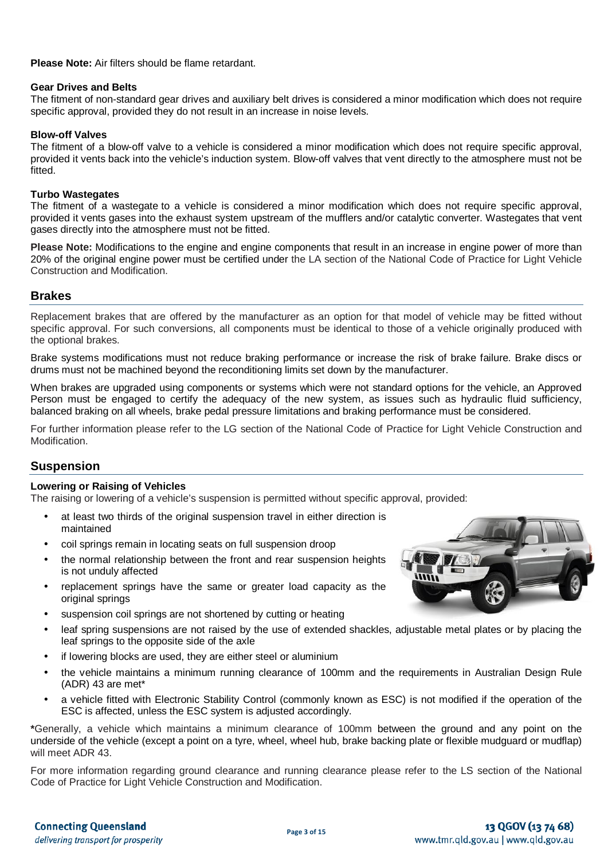**Please Note:** Air filters should be flame retardant.

### **Gear Drives and Belts**

The fitment of non-standard gear drives and auxiliary belt drives is considered a minor modification which does not require specific approval, provided they do not result in an increase in noise levels.

### **Blow-off Valves**

The fitment of a blow-off valve to a vehicle is considered a minor modification which does not require specific approval, provided it vents back into the vehicle's induction system. Blow-off valves that vent directly to the atmosphere must not be fitted.

### **Turbo Wastegates**

The fitment of a wastegate to a vehicle is considered a minor modification which does not require specific approval, provided it vents gases into the exhaust system upstream of the mufflers and/or catalytic converter. Wastegates that vent gases directly into the atmosphere must not be fitted.

**Please Note:** Modifications to the engine and engine components that result in an increase in engine power of more than 20% of the original engine power must be certified under the LA section of the National Code of Practice for Light Vehicle Construction and Modification.

### **Brakes**

Replacement brakes that are offered by the manufacturer as an option for that model of vehicle may be fitted without specific approval. For such conversions, all components must be identical to those of a vehicle originally produced with the optional brakes.

Brake systems modifications must not reduce braking performance or increase the risk of brake failure. Brake discs or drums must not be machined beyond the reconditioning limits set down by the manufacturer.

When brakes are upgraded using components or systems which were not standard options for the vehicle, an Approved Person must be engaged to certify the adequacy of the new system, as issues such as hydraulic fluid sufficiency, balanced braking on all wheels, brake pedal pressure limitations and braking performance must be considered.

For further information please refer to the LG section of the National Code of Practice for Light Vehicle Construction and Modification.

# **Suspension**

### **Lowering or Raising of Vehicles**

The raising or lowering of a vehicle's suspension is permitted without specific approval, provided:

- at least two thirds of the original suspension travel in either direction is maintained
- coil springs remain in locating seats on full suspension droop
- the normal relationship between the front and rear suspension heights is not unduly affected
- replacement springs have the same or greater load capacity as the original springs
- suspension coil springs are not shortened by cutting or heating
- leaf spring suspensions are not raised by the use of extended shackles, adjustable metal plates or by placing the leaf springs to the opposite side of the axle
- if lowering blocks are used, they are either steel or aluminium
- the vehicle maintains a minimum running clearance of 100mm and the requirements in Australian Design Rule (ADR) 43 are met\*
- a vehicle fitted with Electronic Stability Control (commonly known as ESC) is not modified if the operation of the ESC is affected, unless the ESC system is adjusted accordingly.

**\***Generally, a vehicle which maintains a minimum clearance of 100mm between the ground and any point on the underside of the vehicle (except a point on a tyre, wheel, wheel hub, brake backing plate or flexible mudguard or mudflap) will meet ADR 43.

For more information regarding ground clearance and running clearance please refer to the LS section of the National Code of Practice for Light Vehicle Construction and Modification.

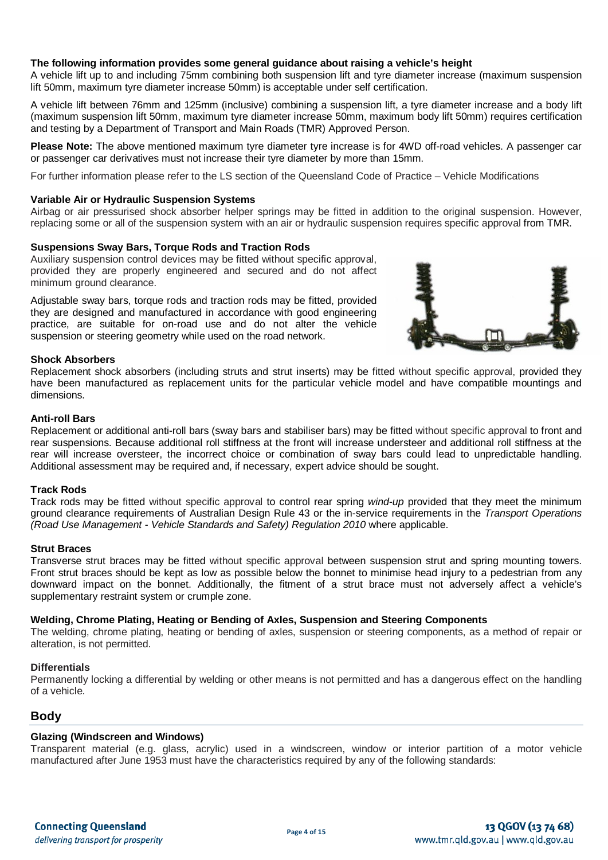### **The following information provides some general guidance about raising a vehicle's height**

A vehicle lift up to and including 75mm combining both suspension lift and tyre diameter increase (maximum suspension lift 50mm, maximum tyre diameter increase 50mm) is acceptable under self certification.

A vehicle lift between 76mm and 125mm (inclusive) combining a suspension lift, a tyre diameter increase and a body lift (maximum suspension lift 50mm, maximum tyre diameter increase 50mm, maximum body lift 50mm) requires certification and testing by a Department of Transport and Main Roads (TMR) Approved Person.

**Please Note:** The above mentioned maximum tyre diameter tyre increase is for 4WD off-road vehicles. A passenger car or passenger car derivatives must not increase their tyre diameter by more than 15mm.

For further information please refer to the LS section of the Queensland Code of Practice – Vehicle Modifications

### **Variable Air or Hydraulic Suspension Systems**

Airbag or air pressurised shock absorber helper springs may be fitted in addition to the original suspension. However, replacing some or all of the suspension system with an air or hydraulic suspension requires specific approval from TMR.

### **Suspensions Sway Bars, Torque Rods and Traction Rods**

Auxiliary suspension control devices may be fitted without specific approval, provided they are properly engineered and secured and do not affect minimum ground clearance.

Adjustable sway bars, torque rods and traction rods may be fitted, provided they are designed and manufactured in accordance with good engineering practice, are suitable for on-road use and do not alter the vehicle suspension or steering geometry while used on the road network.



### **Shock Absorbers**

Replacement shock absorbers (including struts and strut inserts) may be fitted without specific approval, provided they have been manufactured as replacement units for the particular vehicle model and have compatible mountings and dimensions.

### **Anti-roll Bars**

Replacement or additional anti-roll bars (sway bars and stabiliser bars) may be fitted without specific approval to front and rear suspensions. Because additional roll stiffness at the front will increase understeer and additional roll stiffness at the rear will increase oversteer, the incorrect choice or combination of sway bars could lead to unpredictable handling. Additional assessment may be required and, if necessary, expert advice should be sought.

### **Track Rods**

Track rods may be fitted without specific approval to control rear spring *wind-up* provided that they meet the minimum ground clearance requirements of Australian Design Rule 43 or the in-service requirements in the *Transport Operations (Road Use Management - Vehicle Standards and Safety) Regulation 2010* where applicable.

### **Strut Braces**

Transverse strut braces may be fitted without specific approval between suspension strut and spring mounting towers. Front strut braces should be kept as low as possible below the bonnet to minimise head injury to a pedestrian from any downward impact on the bonnet. Additionally, the fitment of a strut brace must not adversely affect a vehicle's supplementary restraint system or crumple zone.

### **Welding, Chrome Plating, Heating or Bending of Axles, Suspension and Steering Components**

The welding, chrome plating, heating or bending of axles, suspension or steering components, as a method of repair or alteration, is not permitted.

### **Differentials**

Permanently locking a differential by welding or other means is not permitted and has a dangerous effect on the handling of a vehicle.

### **Body**

### **Glazing (Windscreen and Windows)**

Transparent material (e.g. glass, acrylic) used in a windscreen, window or interior partition of a motor vehicle manufactured after June 1953 must have the characteristics required by any of the following standards: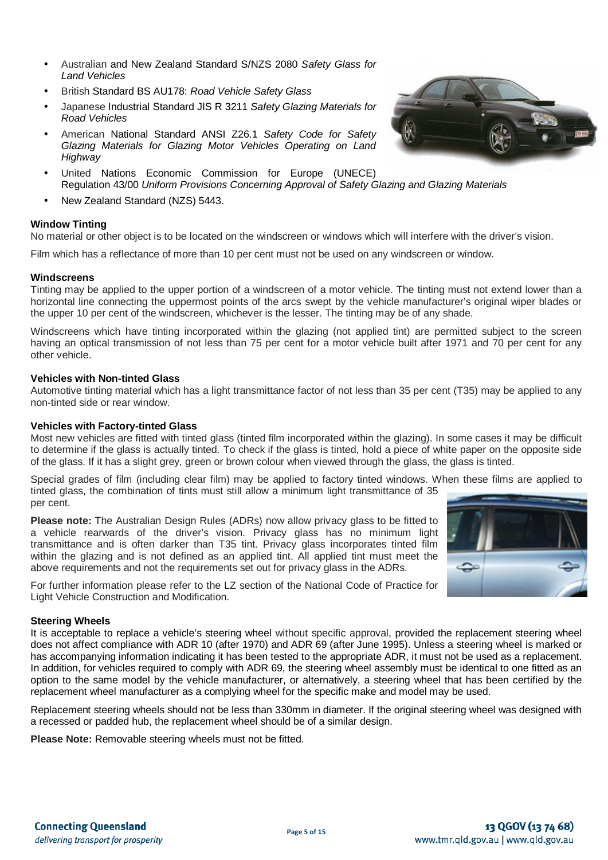- Australian and New Zealand Standard S/NZS 2080 *Safety Glass for Land Vehicles*
- British Standard BS AU178: *Road Vehicle Safety Glass*
- Japanese Industrial Standard JIS R 3211 *Safety Glazing Materials for Road Vehicles*
- American National Standard ANSI Z26.1 *Safety Code for Safety Glazing Materials for Glazing Motor Vehicles Operating on Land Highway*
- United Nations Economic Commission for Europe (UNECE) Regulation 43/00 *Uniform Provisions Concerning Approval of Safety Glazing and Glazing Materials*
- New Zealand Standard (NZS) 5443.

### **Window Tinting**

No material or other object is to be located on the windscreen or windows which will interfere with the driver's vision.

Film which has a reflectance of more than 10 per cent must not be used on any windscreen or window.

### **Windscreens**

Tinting may be applied to the upper portion of a windscreen of a motor vehicle. The tinting must not extend lower than a horizontal line connecting the uppermost points of the arcs swept by the vehicle manufacturer's original wiper blades or the upper 10 per cent of the windscreen, whichever is the lesser. The tinting may be of any shade.

Windscreens which have tinting incorporated within the glazing (not applied tint) are permitted subject to the screen having an optical transmission of not less than 75 per cent for a motor vehicle built after 1971 and 70 per cent for any other vehicle.

### **Vehicles with Non-tinted Glass**

Automotive tinting material which has a light transmittance factor of not less than 35 per cent (T35) may be applied to any non-tinted side or rear window.

### **Vehicles with Factory-tinted Glass**

Most new vehicles are fitted with tinted glass (tinted film incorporated within the glazing). In some cases it may be difficult to determine if the glass is actually tinted. To check if the glass is tinted, hold a piece of white paper on the opposite side of the glass. If it has a slight grey, green or brown colour when viewed through the glass, the glass is tinted.

Special grades of film (including clear film) may be applied to factory tinted windows. When these films are applied to tinted glass, the combination of tints must still allow a minimum light transmittance of 35 per cent.

**Please note:** The Australian Design Rules (ADRs) now allow privacy glass to be fitted to a vehicle rearwards of the driver's vision. Privacy glass has no minimum light transmittance and is often darker than T35 tint. Privacy glass incorporates tinted film within the glazing and is not defined as an applied tint. All applied tint must meet the above requirements and not the requirements set out for privacy glass in the ADRs.

For further information please refer to the LZ section of the National Code of Practice for Light Vehicle Construction and Modification.

### **Steering Wheels**

It is acceptable to replace a vehicle's steering wheel without specific approval, provided the replacement steering wheel does not affect compliance with ADR 10 (after 1970) and ADR 69 (after June 1995). Unless a steering wheel is marked or has accompanying information indicating it has been tested to the appropriate ADR, it must not be used as a replacement. In addition, for vehicles required to comply with ADR 69, the steering wheel assembly must be identical to one fitted as an option to the same model by the vehicle manufacturer, or alternatively, a steering wheel that has been certified by the replacement wheel manufacturer as a complying wheel for the specific make and model may be used.

Replacement steering wheels should not be less than 330mm in diameter. If the original steering wheel was designed with a recessed or padded hub, the replacement wheel should be of a similar design.

**Please Note:** Removable steering wheels must not be fitted.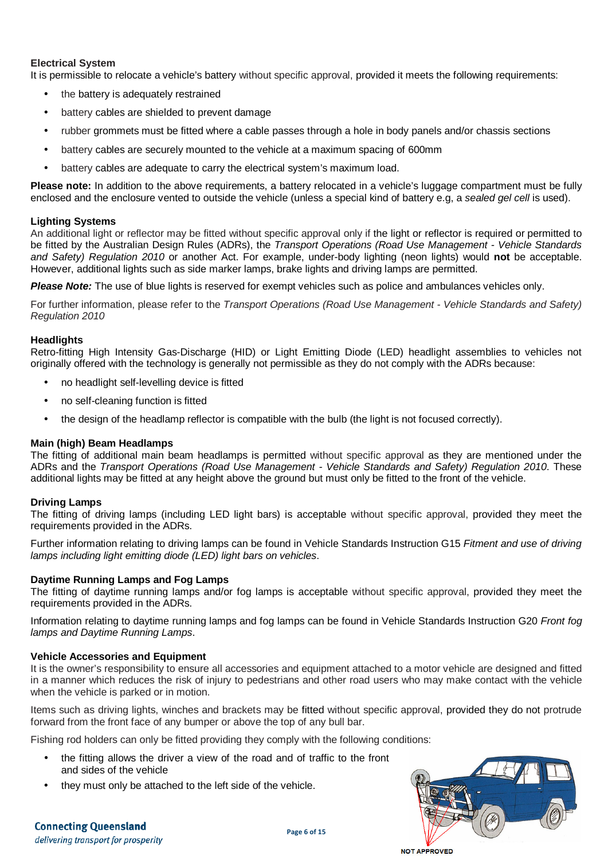# **Electrical System**

It is permissible to relocate a vehicle's battery without specific approval, provided it meets the following requirements:

- the battery is adequately restrained
- battery cables are shielded to prevent damage
- rubber grommets must be fitted where a cable passes through a hole in body panels and/or chassis sections
- battery cables are securely mounted to the vehicle at a maximum spacing of 600mm
- battery cables are adequate to carry the electrical system's maximum load.

**Please note:** In addition to the above requirements, a battery relocated in a vehicle's luggage compartment must be fully enclosed and the enclosure vented to outside the vehicle (unless a special kind of battery e.g, a *sealed gel cell* is used).

### **Lighting Systems**

An additional light or reflector may be fitted without specific approval only if the light or reflector is required or permitted to be fitted by the Australian Design Rules (ADRs), the *Transport Operations (Road Use Management - Vehicle Standards and Safety) Regulation 2010* or another Act. For example, under-body lighting (neon lights) would **not** be acceptable. However, additional lights such as side marker lamps, brake lights and driving lamps are permitted.

**Please Note:** The use of blue lights is reserved for exempt vehicles such as police and ambulances vehicles only.

For further information, please refer to the *Transport Operations (Road Use Management - Vehicle Standards and Safety) Regulation 2010*

### **Headlights**

Retro-fitting High Intensity Gas-Discharge (HID) or Light Emitting Diode (LED) headlight assemblies to vehicles not originally offered with the technology is generally not permissible as they do not comply with the ADRs because:

- no headlight self-levelling device is fitted
- no self-cleaning function is fitted
- the design of the headlamp reflector is compatible with the bulb (the light is not focused correctly).

### **Main (high) Beam Headlamps**

The fitting of additional main beam headlamps is permitted without specific approval as they are mentioned under the ADRs and the *Transport Operations (Road Use Management - Vehicle Standards and Safety) Regulation 2010*. These additional lights may be fitted at any height above the ground but must only be fitted to the front of the vehicle.

### **Driving Lamps**

The fitting of driving lamps (including LED light bars) is acceptable without specific approval, provided they meet the requirements provided in the ADRs.

Further information relating to driving lamps can be found in Vehicle Standards Instruction G15 *Fitment and use of driving lamps including light emitting diode (LED) light bars on vehicles*.

### **Daytime Running Lamps and Fog Lamps**

The fitting of daytime running lamps and/or fog lamps is acceptable without specific approval, provided they meet the requirements provided in the ADRs.

Information relating to daytime running lamps and fog lamps can be found in Vehicle Standards Instruction G20 *Front fog lamps and Daytime Running Lamps*.

### **Vehicle Accessories and Equipment**

It is the owner's responsibility to ensure all accessories and equipment attached to a motor vehicle are designed and fitted in a manner which reduces the risk of injury to pedestrians and other road users who may make contact with the vehicle when the vehicle is parked or in motion.

Items such as driving lights, winches and brackets may be fitted without specific approval, provided they do not protrude forward from the front face of any bumper or above the top of any bull bar.

Fishing rod holders can only be fitted providing they comply with the following conditions:

- the fitting allows the driver a view of the road and of traffic to the front and sides of the vehicle
- they must only be attached to the left side of the vehicle.

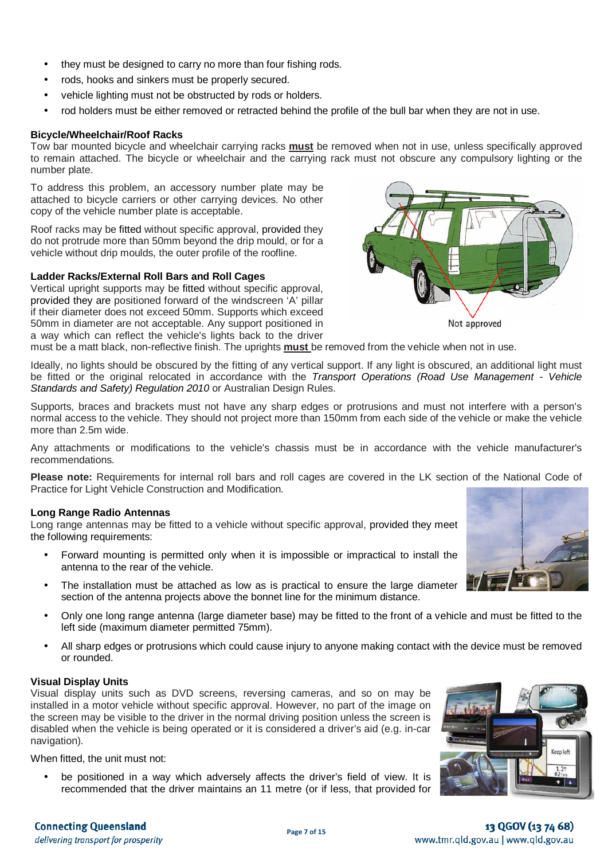- they must be designed to carry no more than four fishing rods.
- rods, hooks and sinkers must be properly secured.
- vehicle lighting must not be obstructed by rods or holders.
- rod holders must be either removed or retracted behind the profile of the bull bar when they are not in use.

# **Bicycle/Wheelchair/Roof Racks**

Tow bar mounted bicycle and wheelchair carrying racks **must** be removed when not in use, unless specifically approved to remain attached. The bicycle or wheelchair and the carrying rack must not obscure any compulsory lighting or the number plate.

To address this problem, an accessory number plate may be attached to bicycle carriers or other carrying devices. No other copy of the vehicle number plate is acceptable.

Roof racks may be fitted without specific approval, provided they do not protrude more than 50mm beyond the drip mould, or for a vehicle without drip moulds, the outer profile of the roofline.

# **Ladder Racks/External Roll Bars and Roll Cages**

Vertical upright supports may be fitted without specific approval, provided they are positioned forward of the windscreen 'A' pillar if their diameter does not exceed 50mm. Supports which exceed 50mm in diameter are not acceptable. Any support positioned in a way which can reflect the vehicle's lights back to the driver



must be a matt black, non-reflective finish. The uprights **must** be removed from the vehicle when not in use.

Ideally, no lights should be obscured by the fitting of any vertical support. If any light is obscured, an additional light must be fitted or the original relocated in accordance with the *Transport Operations (Road Use Management - Vehicle Standards and Safety) Regulation 2010* or Australian Design Rules.

Supports, braces and brackets must not have any sharp edges or protrusions and must not interfere with a person's normal access to the vehicle. They should not project more than 150mm from each side of the vehicle or make the vehicle more than 2.5m wide.

Any attachments or modifications to the vehicle's chassis must be in accordance with the vehicle manufacturer's recommendations.

**Please note:** Requirements for internal roll bars and roll cages are covered in the LK section of the National Code of Practice for Light Vehicle Construction and Modification.

### **Long Range Radio Antennas**

Long range antennas may be fitted to a vehicle without specific approval, provided they meet the following requirements:

- Forward mounting is permitted only when it is impossible or impractical to install the antenna to the rear of the vehicle.
- The installation must be attached as low as is practical to ensure the large diameter section of the antenna projects above the bonnet line for the minimum distance.
- Only one long range antenna (large diameter base) may be fitted to the front of a vehicle and must be fitted to the left side (maximum diameter permitted 75mm).
- All sharp edges or protrusions which could cause injury to anyone making contact with the device must be removed or rounded.

### **Visual Display Units**

Visual display units such as DVD screens, reversing cameras, and so on may be installed in a motor vehicle without specific approval. However, no part of the image on the screen may be visible to the driver in the normal driving position unless the screen is disabled when the vehicle is being operated or it is considered a driver's aid (e.g. in-car navigation).

When fitted, the unit must not:

be positioned in a way which adversely affects the driver's field of view. It is recommended that the driver maintains an 11 metre (or if less, that provided for



# **Connecting Oueensland** delivering transport for prosperity

# 13 QGOV (13 74 68) www.tmr.qld.gov.au | www.qld.gov.au

Ŧ. -0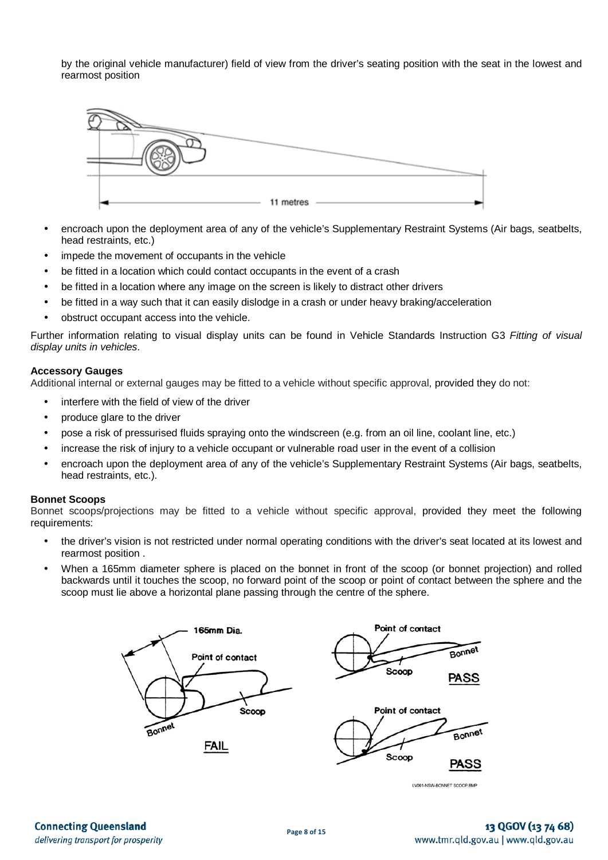by the original vehicle manufacturer) field of view from the driver's seating position with the seat in the lowest and rearmost position



- encroach upon the deployment area of any of the vehicle's Supplementary Restraint Systems (Air bags, seatbelts, head restraints, etc.)
- impede the movement of occupants in the vehicle
- be fitted in a location which could contact occupants in the event of a crash
- be fitted in a location where any image on the screen is likely to distract other drivers
- be fitted in a way such that it can easily dislodge in a crash or under heavy braking/acceleration
- obstruct occupant access into the vehicle.

Further information relating to visual display units can be found in Vehicle Standards Instruction G3 *Fitting of visual display units in vehicles*.

### **Accessory Gauges**

Additional internal or external gauges may be fitted to a vehicle without specific approval, provided they do not:

- interfere with the field of view of the driver
- produce glare to the driver
- pose a risk of pressurised fluids spraying onto the windscreen (e.g. from an oil line, coolant line, etc.)
- increase the risk of injury to a vehicle occupant or vulnerable road user in the event of a collision
- encroach upon the deployment area of any of the vehicle's Supplementary Restraint Systems (Air bags, seatbelts, head restraints, etc.).

### **Bonnet Scoops**

Bonnet scoops/projections may be fitted to a vehicle without specific approval, provided they meet the following requirements:

- the driver's vision is not restricted under normal operating conditions with the driver's seat located at its lowest and rearmost position .
- When a 165mm diameter sphere is placed on the bonnet in front of the scoop (or bonnet projection) and rolled backwards until it touches the scoop, no forward point of the scoop or point of contact between the sphere and the scoop must lie above a horizontal plane passing through the centre of the sphere.



LV001-NSW-BONNET SCOOP.BM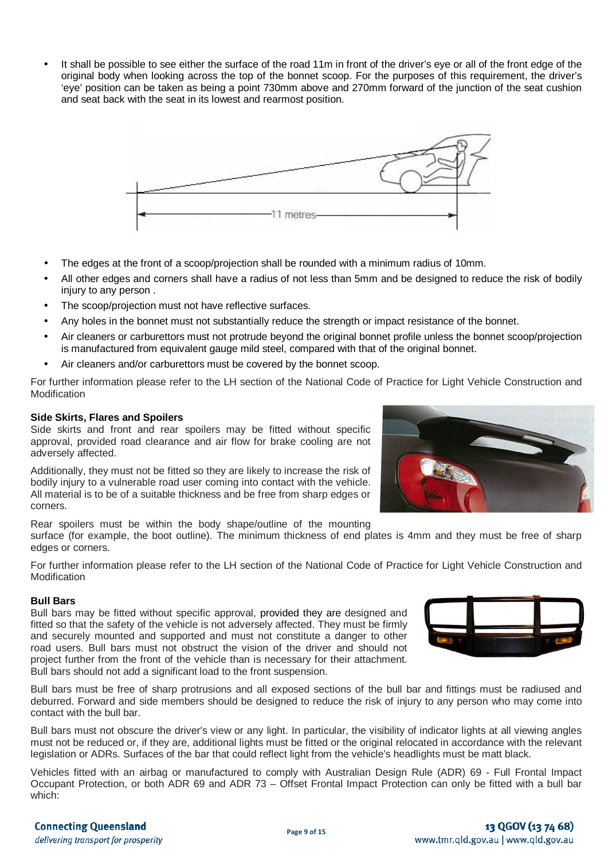It shall be possible to see either the surface of the road 11m in front of the driver's eye or all of the front edge of the original body when looking across the top of the bonnet scoop. For the purposes of this requirement, the driver's 'eye' position can be taken as being a point 730mm above and 270mm forward of the junction of the seat cushion and seat back with the seat in its lowest and rearmost position.



- The edges at the front of a scoop/projection shall be rounded with a minimum radius of 10mm.
- All other edges and corners shall have a radius of not less than 5mm and be designed to reduce the risk of bodily injury to any person .
- The scoop/projection must not have reflective surfaces.
- Any holes in the bonnet must not substantially reduce the strength or impact resistance of the bonnet.
- Air cleaners or carburettors must not protrude beyond the original bonnet profile unless the bonnet scoop/projection is manufactured from equivalent gauge mild steel, compared with that of the original bonnet.
- Air cleaners and/or carburettors must be covered by the bonnet scoop.

For further information please refer to the LH section of the National Code of Practice for Light Vehicle Construction and **Modification** 

#### **Side Skirts, Flares and Spoilers**

Side skirts and front and rear spoilers may be fitted without specific approval, provided road clearance and air flow for brake cooling are not adversely affected.

Additionally, they must not be fitted so they are likely to increase the risk of bodily injury to a vulnerable road user coming into contact with the vehicle. All material is to be of a suitable thickness and be free from sharp edges or corners.

Rear spoilers must be within the body shape/outline of the mounting

surface (for example, the boot outline). The minimum thickness of end plates is 4mm and they must be free of sharp edges or corners.

For further information please refer to the LH section of the National Code of Practice for Light Vehicle Construction and Modification

### **Bull Bars**

Bull bars may be fitted without specific approval, provided they are designed and fitted so that the safety of the vehicle is not adversely affected. They must be firmly and securely mounted and supported and must not constitute a danger to other road users. Bull bars must not obstruct the vision of the driver and should not project further from the front of the vehicle than is necessary for their attachment. Bull bars should not add a significant load to the front suspension.

Bull bars must be free of sharp protrusions and all exposed sections of the bull bar and fittings must be radiused and deburred. Forward and side members should be designed to reduce the risk of injury to any person who may come into contact with the bull bar.

Bull bars must not obscure the driver's view or any light. In particular, the visibility of indicator lights at all viewing angles must not be reduced or, if they are, additional lights must be fitted or the original relocated in accordance with the relevant legislation or ADRs. Surfaces of the bar that could reflect light from the vehicle's headlights must be matt black.

Vehicles fitted with an airbag or manufactured to comply with Australian Design Rule (ADR) 69 - Full Frontal Impact Occupant Protection, or both ADR 69 and ADR 73 – Offset Frontal Impact Protection can only be fitted with a bull bar which:





**Page 9 of 15**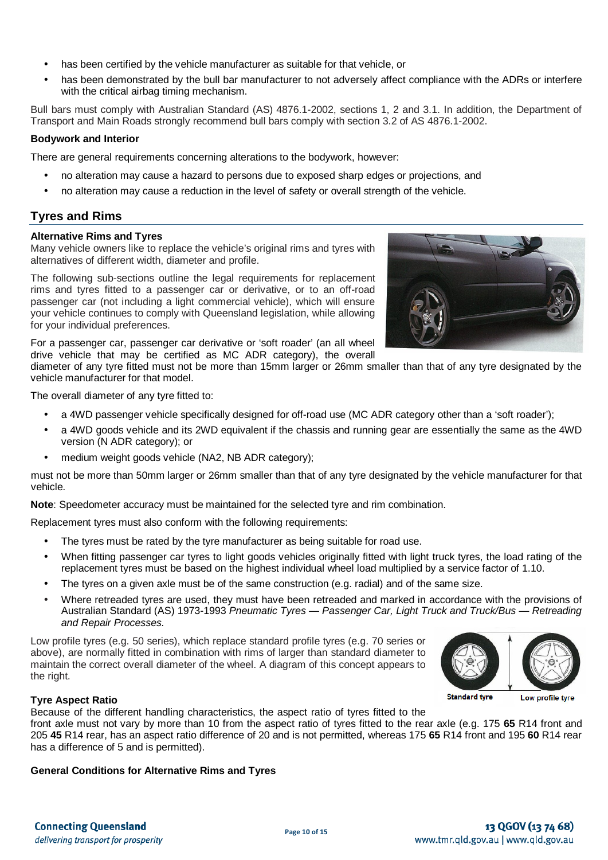- has been certified by the vehicle manufacturer as suitable for that vehicle, or
- has been demonstrated by the bull bar manufacturer to not adversely affect compliance with the ADRs or interfere with the critical airbag timing mechanism.

Bull bars must comply with Australian Standard (AS) 4876.1-2002, sections 1, 2 and 3.1. In addition, the Department of Transport and Main Roads strongly recommend bull bars comply with section 3.2 of AS 4876.1-2002.

# **Bodywork and Interior**

There are general requirements concerning alterations to the bodywork, however:

- no alteration may cause a hazard to persons due to exposed sharp edges or projections, and
- no alteration may cause a reduction in the level of safety or overall strength of the vehicle.

# **Tyres and Rims**

### **Alternative Rims and Tyres**

Many vehicle owners like to replace the vehicle's original rims and tyres with alternatives of different width, diameter and profile.

The following sub-sections outline the legal requirements for replacement rims and tyres fitted to a passenger car or derivative, or to an off-road passenger car (not including a light commercial vehicle), which will ensure your vehicle continues to comply with Queensland legislation, while allowing for your individual preferences.

For a passenger car, passenger car derivative or 'soft roader' (an all wheel drive vehicle that may be certified as MC ADR category), the overall

diameter of any tyre fitted must not be more than 15mm larger or 26mm smaller than that of any tyre designated by the vehicle manufacturer for that model.

The overall diameter of any tyre fitted to:

- a 4WD passenger vehicle specifically designed for off-road use (MC ADR category other than a 'soft roader');
- a 4WD goods vehicle and its 2WD equivalent if the chassis and running gear are essentially the same as the 4WD version (N ADR category); or
- medium weight goods vehicle (NA2, NB ADR category);

must not be more than 50mm larger or 26mm smaller than that of any tyre designated by the vehicle manufacturer for that vehicle.

**Note**: Speedometer accuracy must be maintained for the selected tyre and rim combination.

Replacement tyres must also conform with the following requirements:

- The tyres must be rated by the tyre manufacturer as being suitable for road use.
- When fitting passenger car tyres to light goods vehicles originally fitted with light truck tyres, the load rating of the replacement tyres must be based on the highest individual wheel load multiplied by a service factor of 1.10.
- The tyres on a given axle must be of the same construction (e.g. radial) and of the same size.
- Where retreaded tyres are used, they must have been retreaded and marked in accordance with the provisions of Australian Standard (AS) 1973-1993 *Pneumatic Tyres — Passenger Car, Light Truck and Truck/Bus — Retreading and Repair Processes.*

Low profile tyres (e.g. 50 series), which replace standard profile tyres (e.g. 70 series or above), are normally fitted in combination with rims of larger than standard diameter to maintain the correct overall diameter of the wheel. A diagram of this concept appears to the right.



Low profile tyre

**Standard tyre** 

### **Tyre Aspect Ratio**

Because of the different handling characteristics, the aspect ratio of tyres fitted to the

front axle must not vary by more than 10 from the aspect ratio of tyres fitted to the rear axle (e.g. 175 **65** R14 front and 205 **45** R14 rear, has an aspect ratio difference of 20 and is not permitted, whereas 175 **65** R14 front and 195 **60** R14 rear has a difference of 5 and is permitted).

### **General Conditions for Alternative Rims and Tyres**

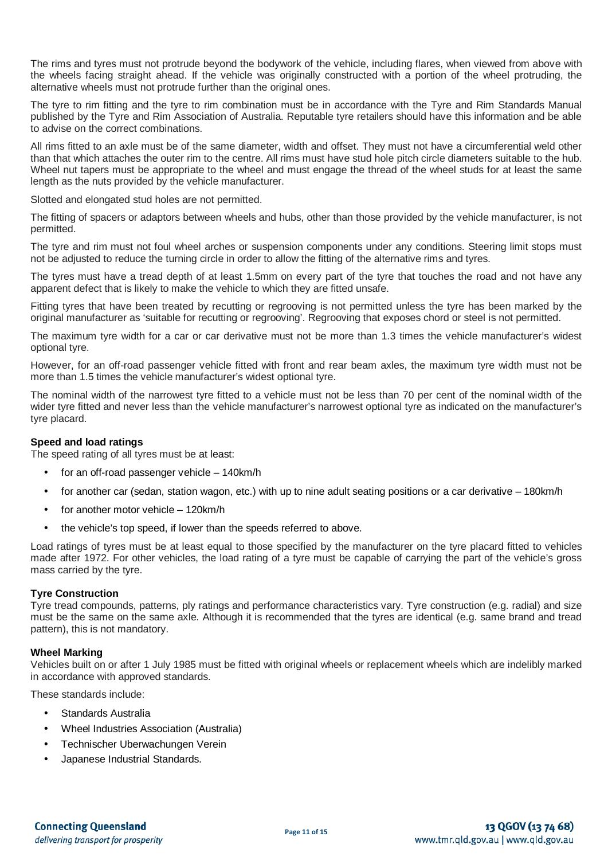The rims and tyres must not protrude beyond the bodywork of the vehicle, including flares, when viewed from above with the wheels facing straight ahead. If the vehicle was originally constructed with a portion of the wheel protruding, the alternative wheels must not protrude further than the original ones.

The tyre to rim fitting and the tyre to rim combination must be in accordance with the Tyre and Rim Standards Manual published by the Tyre and Rim Association of Australia. Reputable tyre retailers should have this information and be able to advise on the correct combinations.

All rims fitted to an axle must be of the same diameter, width and offset. They must not have a circumferential weld other than that which attaches the outer rim to the centre. All rims must have stud hole pitch circle diameters suitable to the hub. Wheel nut tapers must be appropriate to the wheel and must engage the thread of the wheel studs for at least the same length as the nuts provided by the vehicle manufacturer.

Slotted and elongated stud holes are not permitted.

The fitting of spacers or adaptors between wheels and hubs, other than those provided by the vehicle manufacturer, is not permitted.

The tyre and rim must not foul wheel arches or suspension components under any conditions. Steering limit stops must not be adjusted to reduce the turning circle in order to allow the fitting of the alternative rims and tyres.

The tyres must have a tread depth of at least 1.5mm on every part of the tyre that touches the road and not have any apparent defect that is likely to make the vehicle to which they are fitted unsafe.

Fitting tyres that have been treated by recutting or regrooving is not permitted unless the tyre has been marked by the original manufacturer as 'suitable for recutting or regrooving'. Regrooving that exposes chord or steel is not permitted.

The maximum tyre width for a car or car derivative must not be more than 1.3 times the vehicle manufacturer's widest optional tyre.

However, for an off-road passenger vehicle fitted with front and rear beam axles, the maximum tyre width must not be more than 1.5 times the vehicle manufacturer's widest optional tyre.

The nominal width of the narrowest tyre fitted to a vehicle must not be less than 70 per cent of the nominal width of the wider tyre fitted and never less than the vehicle manufacturer's narrowest optional tyre as indicated on the manufacturer's tyre placard.

### **Speed and load ratings**

The speed rating of all tyres must be at least:

- for an off-road passenger vehicle 140km/h
- for another car (sedan, station wagon, etc.) with up to nine adult seating positions or a car derivative 180km/h
- for another motor vehicle 120km/h
- the vehicle's top speed, if lower than the speeds referred to above.

Load ratings of tyres must be at least equal to those specified by the manufacturer on the tyre placard fitted to vehicles made after 1972. For other vehicles, the load rating of a tyre must be capable of carrying the part of the vehicle's gross mass carried by the tyre.

### **Tyre Construction**

Tyre tread compounds, patterns, ply ratings and performance characteristics vary. Tyre construction (e.g. radial) and size must be the same on the same axle. Although it is recommended that the tyres are identical (e.g. same brand and tread pattern), this is not mandatory.

### **Wheel Marking**

Vehicles built on or after 1 July 1985 must be fitted with original wheels or replacement wheels which are indelibly marked in accordance with approved standards.

These standards include:

- Standards Australia
- Wheel Industries Association (Australia)
- Technischer Uberwachungen Verein
- Japanese Industrial Standards.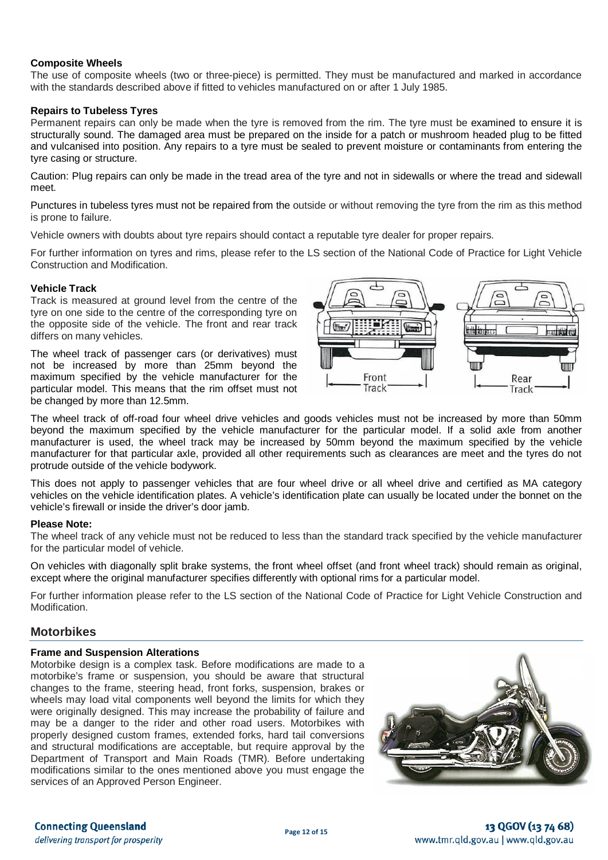### **Composite Wheels**

The use of composite wheels (two or three-piece) is permitted. They must be manufactured and marked in accordance with the standards described above if fitted to vehicles manufactured on or after 1 July 1985.

### **Repairs to Tubeless Tyres**

Permanent repairs can only be made when the tyre is removed from the rim. The tyre must be examined to ensure it is structurally sound. The damaged area must be prepared on the inside for a patch or mushroom headed plug to be fitted and vulcanised into position. Any repairs to a tyre must be sealed to prevent moisture or contaminants from entering the tyre casing or structure.

Caution: Plug repairs can only be made in the tread area of the tyre and not in sidewalls or where the tread and sidewall meet.

Punctures in tubeless tyres must not be repaired from the outside or without removing the tyre from the rim as this method is prone to failure.

Vehicle owners with doubts about tyre repairs should contact a reputable tyre dealer for proper repairs.

For further information on tyres and rims, please refer to the LS section of the National Code of Practice for Light Vehicle Construction and Modification.

### **Vehicle Track**

Track is measured at ground level from the centre of the tyre on one side to the centre of the corresponding tyre on the opposite side of the vehicle. The front and rear track differs on many vehicles.

The wheel track of passenger cars (or derivatives) must not be increased by more than 25mm beyond the maximum specified by the vehicle manufacturer for the particular model. This means that the rim offset must not be changed by more than 12.5mm.



The wheel track of off-road four wheel drive vehicles and goods vehicles must not be increased by more than 50mm beyond the maximum specified by the vehicle manufacturer for the particular model. If a solid axle from another manufacturer is used, the wheel track may be increased by 50mm beyond the maximum specified by the vehicle manufacturer for that particular axle, provided all other requirements such as clearances are meet and the tyres do not protrude outside of the vehicle bodywork.

This does not apply to passenger vehicles that are four wheel drive or all wheel drive and certified as MA category vehicles on the vehicle identification plates. A vehicle's identification plate can usually be located under the bonnet on the vehicle's firewall or inside the driver's door jamb.

### **Please Note:**

The wheel track of any vehicle must not be reduced to less than the standard track specified by the vehicle manufacturer for the particular model of vehicle.

On vehicles with diagonally split brake systems, the front wheel offset (and front wheel track) should remain as original, except where the original manufacturer specifies differently with optional rims for a particular model.

For further information please refer to the LS section of the National Code of Practice for Light Vehicle Construction and Modification.

# **Motorbikes**

### **Frame and Suspension Alterations**

Motorbike design is a complex task. Before modifications are made to a motorbike's frame or suspension, you should be aware that structural changes to the frame, steering head, front forks, suspension, brakes or wheels may load vital components well beyond the limits for which they were originally designed. This may increase the probability of failure and may be a danger to the rider and other road users. Motorbikes with properly designed custom frames, extended forks, hard tail conversions and structural modifications are acceptable, but require approval by the Department of Transport and Main Roads (TMR). Before undertaking modifications similar to the ones mentioned above you must engage the services of an Approved Person Engineer.



### **Connecting Queensland** delivering transport for prosperity

# 13 QGOV (13 74 68) www.tmr.qld.gov.au | www.qld.gov.au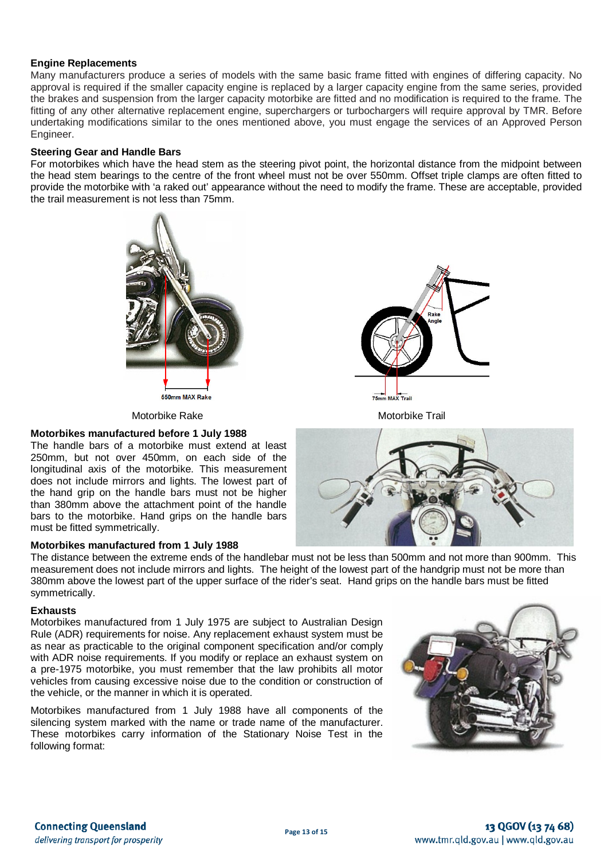### **Engine Replacements**

Many manufacturers produce a series of models with the same basic frame fitted with engines of differing capacity. No approval is required if the smaller capacity engine is replaced by a larger capacity engine from the same series, provided the brakes and suspension from the larger capacity motorbike are fitted and no modification is required to the frame. The fitting of any other alternative replacement engine, superchargers or turbochargers will require approval by TMR. Before undertaking modifications similar to the ones mentioned above, you must engage the services of an Approved Person Engineer.

### **Steering Gear and Handle Bars**

For motorbikes which have the head stem as the steering pivot point, the horizontal distance from the midpoint between the head stem bearings to the centre of the front wheel must not be over 550mm. Offset triple clamps are often fitted to provide the motorbike with 'a raked out' appearance without the need to modify the frame. These are acceptable, provided the trail measurement is not less than 75mm.



75mm MAX Trail

Motorbike Rake Motorbike Trail



### **Motorbikes manufactured before 1 July 1988**

The handle bars of a motorbike must extend at least 250mm, but not over 450mm, on each side of the longitudinal axis of the motorbike. This measurement does not include mirrors and lights. The lowest part of the hand grip on the handle bars must not be higher than 380mm above the attachment point of the handle bars to the motorbike. Hand grips on the handle bars must be fitted symmetrically.

### **Motorbikes manufactured from 1 July 1988**



### **Exhausts**

Motorbikes manufactured from 1 July 1975 are subject to Australian Design Rule (ADR) requirements for noise. Any replacement exhaust system must be as near as practicable to the original component specification and/or comply with ADR noise requirements. If you modify or replace an exhaust system on a pre-1975 motorbike, you must remember that the law prohibits all motor vehicles from causing excessive noise due to the condition or construction of the vehicle, or the manner in which it is operated.

Motorbikes manufactured from 1 July 1988 have all components of the silencing system marked with the name or trade name of the manufacturer. These motorbikes carry information of the Stationary Noise Test in the following format:

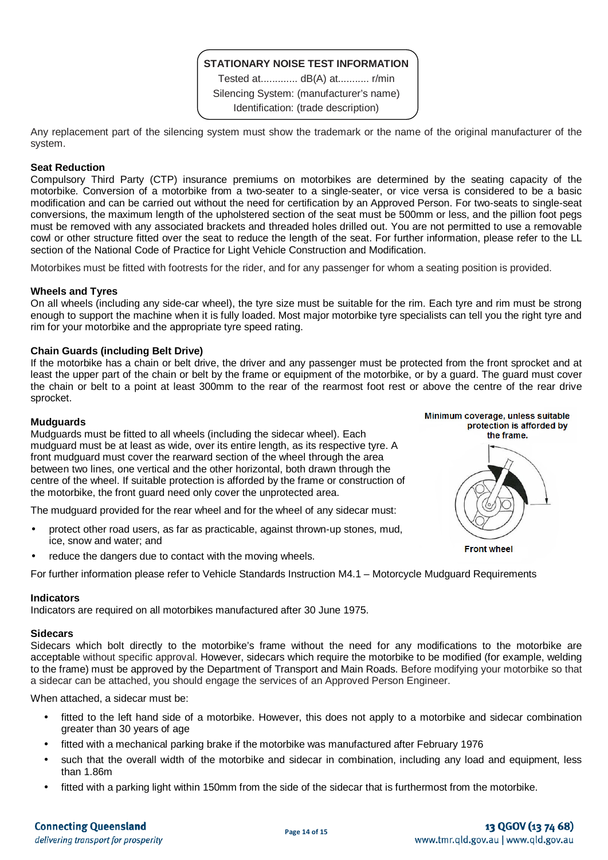# **STATIONARY NOISE TEST INFORMATION**

Tested at............. dB(A) at........... r/min Silencing System: (manufacturer's name) Identification: (trade description)

Any replacement part of the silencing system must show the trademark or the name of the original manufacturer of the system.

### **Seat Reduction**

Compulsory Third Party (CTP) insurance premiums on motorbikes are determined by the seating capacity of the motorbike. Conversion of a motorbike from a two-seater to a single-seater, or vice versa is considered to be a basic modification and can be carried out without the need for certification by an Approved Person. For two-seats to single-seat conversions, the maximum length of the upholstered section of the seat must be 500mm or less, and the pillion foot pegs must be removed with any associated brackets and threaded holes drilled out. You are not permitted to use a removable cowl or other structure fitted over the seat to reduce the length of the seat. For further information, please refer to the LL section of the National Code of Practice for Light Vehicle Construction and Modification.

Motorbikes must be fitted with footrests for the rider, and for any passenger for whom a seating position is provided.

### **Wheels and Tyres**

On all wheels (including any side-car wheel), the tyre size must be suitable for the rim. Each tyre and rim must be strong enough to support the machine when it is fully loaded. Most major motorbike tyre specialists can tell you the right tyre and rim for your motorbike and the appropriate tyre speed rating.

### **Chain Guards (including Belt Drive)**

If the motorbike has a chain or belt drive, the driver and any passenger must be protected from the front sprocket and at least the upper part of the chain or belt by the frame or equipment of the motorbike, or by a guard. The guard must cover the chain or belt to a point at least 300mm to the rear of the rearmost foot rest or above the centre of the rear drive sprocket.

### **Mudguards**

Mudguards must be fitted to all wheels (including the sidecar wheel). Each mudguard must be at least as wide, over its entire length, as its respective tyre. A front mudguard must cover the rearward section of the wheel through the area between two lines, one vertical and the other horizontal, both drawn through the centre of the wheel. If suitable protection is afforded by the frame or construction of the motorbike, the front guard need only cover the unprotected area.

The mudguard provided for the rear wheel and for the wheel of any sidecar must:

- protect other road users, as far as practicable, against thrown-up stones, mud, ice, snow and water; and
- reduce the dangers due to contact with the moving wheels.

For further information please refer to Vehicle Standards Instruction M4.1 – Motorcycle Mudguard Requirements

### **Indicators**

Indicators are required on all motorbikes manufactured after 30 June 1975.

### **Sidecars**

Sidecars which bolt directly to the motorbike's frame without the need for any modifications to the motorbike are acceptable without specific approval. However, sidecars which require the motorbike to be modified (for example, welding to the frame) must be approved by the Department of Transport and Main Roads. Before modifying your motorbike so that a sidecar can be attached, you should engage the services of an Approved Person Engineer.

When attached, a sidecar must be:

- fitted to the left hand side of a motorbike. However, this does not apply to a motorbike and sidecar combination greater than 30 years of age
- fitted with a mechanical parking brake if the motorbike was manufactured after February 1976
- such that the overall width of the motorbike and sidecar in combination, including any load and equipment, less than 1.86m
- fitted with a parking light within 150mm from the side of the sidecar that is furthermost from the motorbike.

Minimum coverage, unless suitable protection is afforded by the frame.

**Front wheel** 

# 13 QGOV (13 74 68) www.tmr.qld.gov.au | www.qld.gov.au